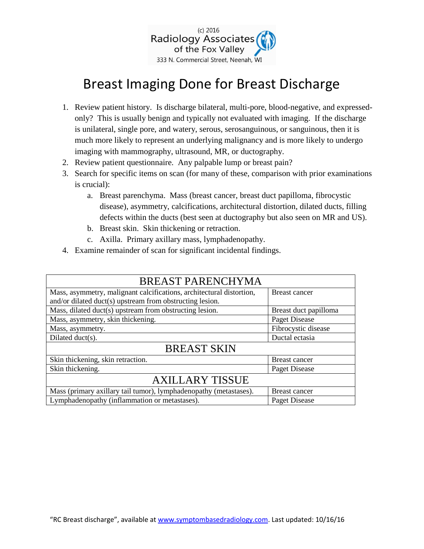

# Breast Imaging Done for Breast Discharge

- 1. Review patient history. Is discharge bilateral, multi-pore, blood-negative, and expressedonly? This is usually benign and typically not evaluated with imaging. If the discharge is unilateral, single pore, and watery, serous, serosanguinous, or sanguinous, then it is much more likely to represent an underlying malignancy and is more likely to undergo imaging with mammography, ultrasound, MR, or ductography.
- 2. Review patient questionnaire. Any palpable lump or breast pain?
- 3. Search for specific items on scan (for many of these, comparison with prior examinations is crucial):
	- a. Breast parenchyma. Mass (breast cancer, breast duct papilloma, fibrocystic disease), asymmetry, calcifications, architectural distortion, dilated ducts, filling defects within the ducts (best seen at ductography but also seen on MR and US).
	- b. Breast skin. Skin thickening or retraction.
	- c. Axilla. Primary axillary mass, lymphadenopathy.
- 4. Examine remainder of scan for significant incidental findings.

| <b>BREAST PARENCHYMA</b>                                             |                       |
|----------------------------------------------------------------------|-----------------------|
| Mass, asymmetry, malignant calcifications, architectural distortion, | Breast cancer         |
| and/or dilated duct(s) upstream from obstructing lesion.             |                       |
| Mass, dilated duct(s) upstream from obstructing lesion.              | Breast duct papilloma |
| Mass, asymmetry, skin thickening.                                    | Paget Disease         |
| Mass, asymmetry.                                                     | Fibrocystic disease   |
| Dilated duct(s).                                                     | Ductal ectasia        |
| <b>BREAST SKIN</b>                                                   |                       |
| Skin thickening, skin retraction.                                    | Breast cancer         |
| Skin thickening.                                                     | Paget Disease         |
| <b>AXILLARY TISSUE</b>                                               |                       |
| Mass (primary axillary tail tumor), lymphadenopathy (metastases).    | Breast cancer         |
| Lymphadenopathy (inflammation or metastases).                        | Paget Disease         |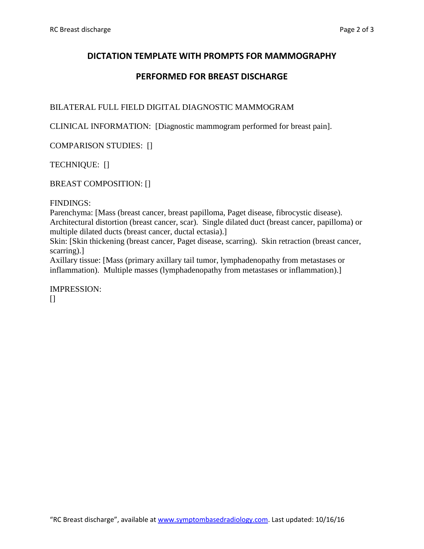## **DICTATION TEMPLATE WITH PROMPTS FOR MAMMOGRAPHY**

## **PERFORMED FOR BREAST DISCHARGE**

## BILATERAL FULL FIELD DIGITAL DIAGNOSTIC MAMMOGRAM

CLINICAL INFORMATION: [Diagnostic mammogram performed for breast pain].

COMPARISON STUDIES: []

TECHNIQUE: []

BREAST COMPOSITION: []

#### FINDINGS:

Parenchyma: [Mass (breast cancer, breast papilloma, Paget disease, fibrocystic disease). Architectural distortion (breast cancer, scar). Single dilated duct (breast cancer, papilloma) or multiple dilated ducts (breast cancer, ductal ectasia).]

Skin: [Skin thickening (breast cancer, Paget disease, scarring). Skin retraction (breast cancer, scarring).]

Axillary tissue: [Mass (primary axillary tail tumor, lymphadenopathy from metastases or inflammation). Multiple masses (lymphadenopathy from metastases or inflammation).]

IMPRESSION:  $\prod$